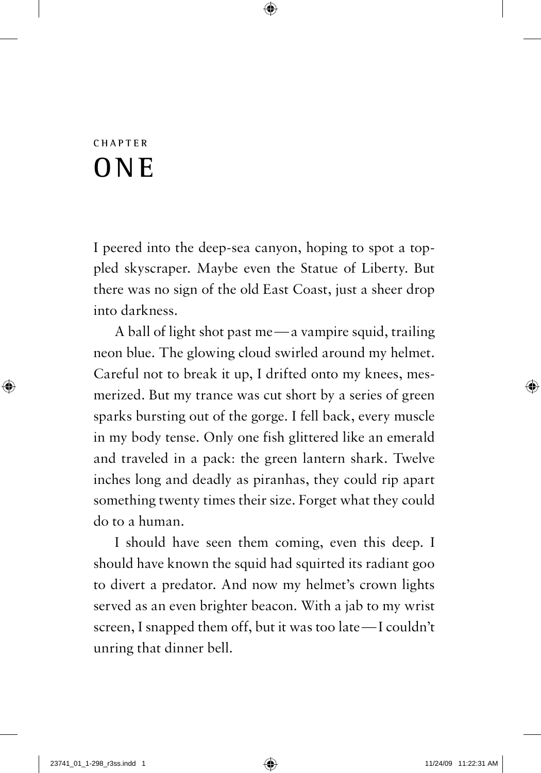## **CHAPTER ONE**

I peered into the deep-sea canyon, hoping to spot a toppled skyscraper. Maybe even the Statue of Liberty. But there was no sign of the old East Coast, just a sheer drop into darkness.

A ball of light shot past me — a vampire squid, trailing neon blue. The glowing cloud swirled around my helmet. Careful not to break it up, I drifted onto my knees, mesmerized. But my trance was cut short by a series of green sparks bursting out of the gorge. I fell back, every muscle in my body tense. Only one fish glittered like an emerald and traveled in a pack: the green lantern shark. Twelve inches long and deadly as piranhas, they could rip apart something twenty times their size. Forget what they could do to a human.

I should have seen them coming, even this deep. I should have known the squid had squirted its radiant goo to divert a predator. And now my helmet's crown lights served as an even brighter beacon. With a jab to my wrist screen, I snapped them off, but it was too late — I couldn't unring that dinner bell.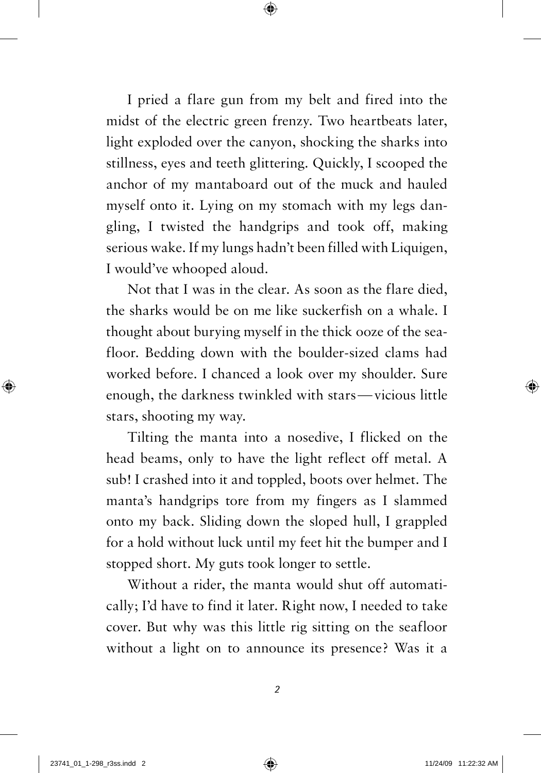I pried a flare gun from my belt and fired into the midst of the electric green frenzy. Two heartbeats later, light exploded over the canyon, shocking the sharks into stillness, eyes and teeth glittering. Quickly, I scooped the anchor of my mantaboard out of the muck and hauled myself onto it. Lying on my stomach with my legs dangling, I twisted the handgrips and took off, making serious wake. If my lungs hadn't been filled with Liquigen, I would've whooped aloud.

Not that I was in the clear. As soon as the flare died, the sharks would be on me like suckerfish on a whale. I thought about burying myself in the thick ooze of the seafloor. Bedding down with the boulder-sized clams had worked before. I chanced a look over my shoulder. Sure enough, the darkness twinkled with stars — vicious little stars, shooting my way.

Tilting the manta into a nosedive, I flicked on the head beams, only to have the light reflect off metal. A sub! I crashed into it and toppled, boots over helmet. The manta's handgrips tore from my fingers as I slammed onto my back. Sliding down the sloped hull, I grappled for a hold without luck until my feet hit the bumper and I stopped short. My guts took longer to settle.

Without a rider, the manta would shut off automatically; I'd have to find it later. Right now, I needed to take cover. But why was this little rig sitting on the seafloor without a light on to announce its presence? Was it a

*2*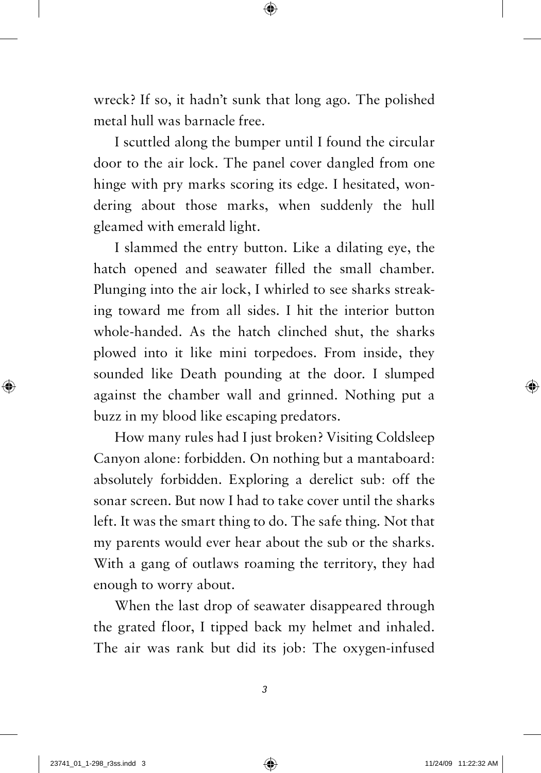wreck? If so, it hadn't sunk that long ago. The polished metal hull was barnacle free.

I scuttled along the bumper until I found the circular door to the air lock. The panel cover dangled from one hinge with pry marks scoring its edge. I hesitated, wondering about those marks, when suddenly the hull gleamed with emerald light.

I slammed the entry button. Like a dilating eye, the hatch opened and seawater filled the small chamber. Plunging into the air lock, I whirled to see sharks streaking toward me from all sides. I hit the interior button whole-handed. As the hatch clinched shut, the sharks plowed into it like mini torpedoes. From inside, they sounded like Death pounding at the door. I slumped against the chamber wall and grinned. Nothing put a buzz in my blood like escaping predators.

How many rules had I just broken? Visiting Coldsleep Canyon alone: forbidden. On nothing but a mantaboard: absolutely forbidden. Exploring a derelict sub: off the sonar screen. But now I had to take cover until the sharks left. It was the smart thing to do. The safe thing. Not that my parents would ever hear about the sub or the sharks. With a gang of outlaws roaming the territory, they had enough to worry about.

When the last drop of seawater disappeared through the grated floor, I tipped back my helmet and inhaled. The air was rank but did its job: The oxygen-infused

*3*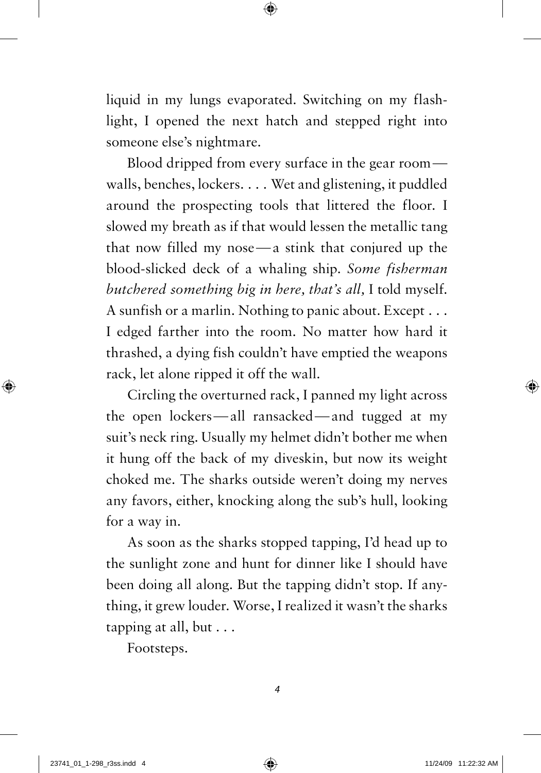liquid in my lungs evaporated. Switching on my flashlight, I opened the next hatch and stepped right into someone else's nightmare.

Blood dripped from every surface in the gear roomwalls, benches, lockers. . . . Wet and glistening, it puddled around the prospecting tools that littered the floor. I slowed my breath as if that would lessen the metallic tang that now filled my nose—a stink that conjured up the blood-slicked deck of a whaling ship. *Some fisherman butchered something big in here, that's all,* I told myself. A sunfish or a marlin. Nothing to panic about. Except . . . I edged farther into the room. No matter how hard it thrashed, a dying fish couldn't have emptied the weapons rack, let alone ripped it off the wall.

Circling the overturned rack, I panned my light across the open lockers — all ransacked — and tugged at my suit's neck ring. Usually my helmet didn't bother me when it hung off the back of my diveskin, but now its weight choked me. The sharks outside weren't doing my nerves any favors, either, knocking along the sub's hull, looking for a way in.

As soon as the sharks stopped tapping, I'd head up to the sunlight zone and hunt for dinner like I should have been doing all along. But the tapping didn't stop. If anything, it grew louder. Worse, I realized it wasn't the sharks tapping at all, but . . .

Footsteps.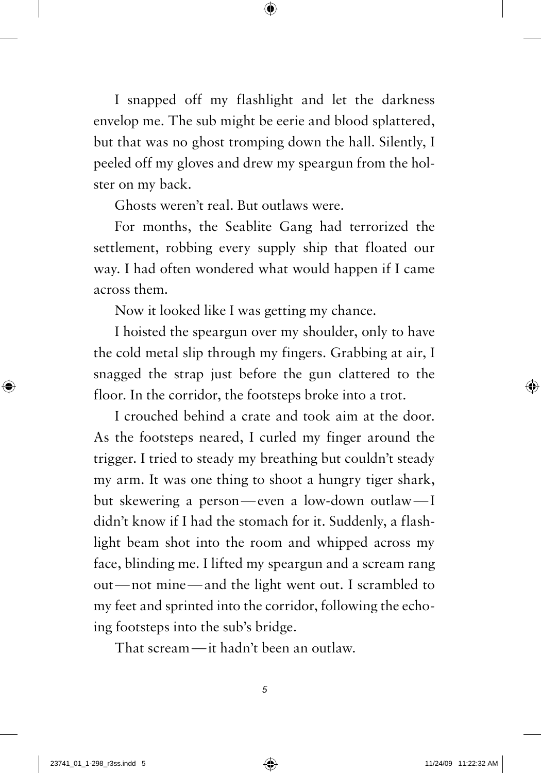I snapped off my flashlight and let the darkness envelop me. The sub might be eerie and blood splattered, but that was no ghost tromping down the hall. Silently, I peeled off my gloves and drew my speargun from the holster on my back.

Ghosts weren't real. But outlaws were.

For months, the Seablite Gang had terrorized the settlement, robbing every supply ship that floated our way. I had often wondered what would happen if I came across them.

Now it looked like I was getting my chance.

I hoisted the speargun over my shoulder, only to have the cold metal slip through my fingers. Grabbing at air, I snagged the strap just before the gun clattered to the floor. In the corridor, the footsteps broke into a trot.

I crouched behind a crate and took aim at the door. As the footsteps neared, I curled my finger around the trigger. I tried to steady my breathing but couldn't steady my arm. It was one thing to shoot a hungry tiger shark, but skewering a person — even a low-down outlaw — I didn't know if I had the stomach for it. Suddenly, a flashlight beam shot into the room and whipped across my face, blinding me. I lifted my speargun and a scream rang out — not mine — and the light went out. I scrambled to my feet and sprinted into the corridor, following the echoing footsteps into the sub's bridge.

That scream — it hadn't been an outlaw.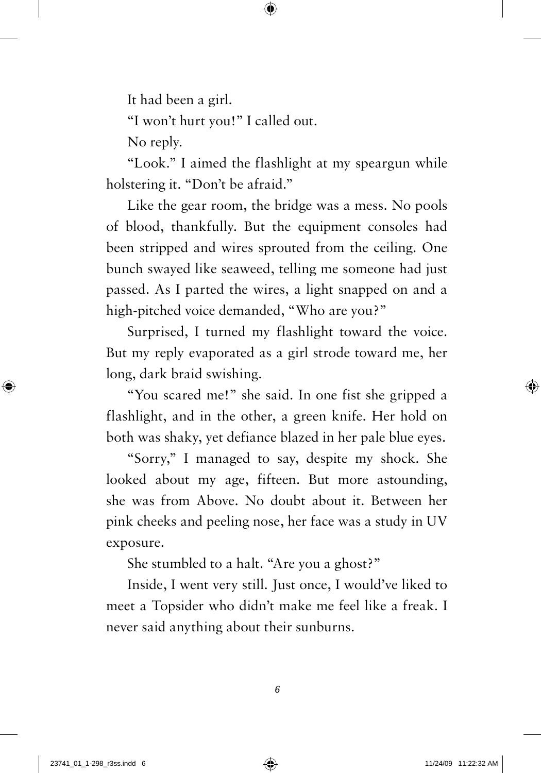It had been a girl.

"I won't hurt you!" I called out.

No reply.

"Look." I aimed the flashlight at my speargun while holstering it. "Don't be afraid."

Like the gear room, the bridge was a mess. No pools of blood, thankfully. But the equipment consoles had been stripped and wires sprouted from the ceiling. One bunch swayed like seaweed, telling me someone had just passed. As I parted the wires, a light snapped on and a high-pitched voice demanded, "Who are you?"

Surprised, I turned my flashlight toward the voice. But my reply evaporated as a girl strode toward me, her long, dark braid swishing.

"You scared me!" she said. In one fist she gripped a flashlight, and in the other, a green knife. Her hold on both was shaky, yet defiance blazed in her pale blue eyes.

"Sorry," I managed to say, despite my shock. She looked about my age, fifteen. But more astounding, she was from Above. No doubt about it. Between her pink cheeks and peeling nose, her face was a study in UV exposure.

She stumbled to a halt. "Are you a ghost?"

Inside, I went very still. Just once, I would've liked to meet a Topsider who didn't make me feel like a freak. I never said anything about their sunburns.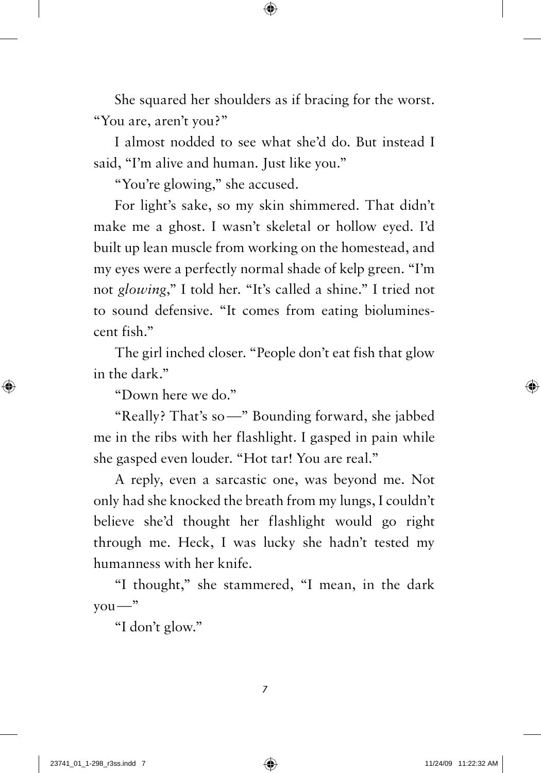She squared her shoulders as if bracing for the worst. "You are, aren't you?"

I almost nodded to see what she'd do. But instead I said, "I'm alive and human. Just like you."

"You're glowing," she accused.

For light's sake, so my skin shimmered. That didn't make me a ghost. I wasn't skeletal or hollow eyed. I'd built up lean muscle from working on the homestead, and my eyes were a perfectly normal shade of kelp green. "I'm not *glowing*," I told her. "It's called a shine." I tried not to sound defensive. "It comes from eating biolumines cent fish."

The girl inched closer. "People don't eat fish that glow in the dark."

"Down here we do."

"Really? That's so —" Bounding forward, she jabbed me in the ribs with her flashlight. I gasped in pain while she gasped even louder. "Hot tar! You are real."

A reply, even a sarcastic one, was beyond me. Not only had she knocked the breath from my lungs, I couldn't believe she'd thought her flashlight would go right through me. Heck, I was lucky she hadn't tested my humanness with her knife.

"I thought," she stammered, "I mean, in the dark  $you$ <sup>"</sup>

"I don't glow."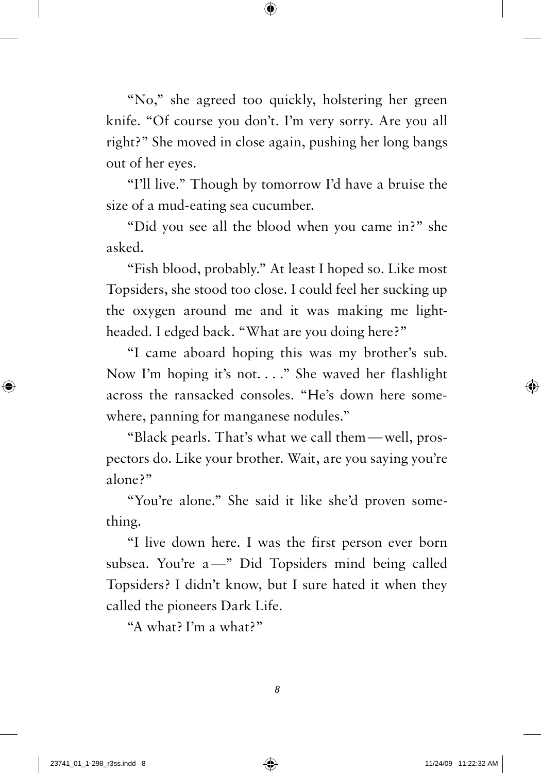"No," she agreed too quickly, holstering her green knife. "Of course you don't. I'm very sorry. Are you all right?" She moved in close again, pushing her long bangs out of her eyes.

"I'll live." Though by tomorrow I'd have a bruise the size of a mud-eating sea cucumber.

"Did you see all the blood when you came in?" she asked.

"Fish blood, probably." At least I hoped so. Like most Topsiders, she stood too close. I could feel her sucking up the oxygen around me and it was making me lightheaded. I edged back. "What are you doing here?"

"I came aboard hoping this was my brother's sub. Now I'm hoping it's not. . . ." She waved her flashlight across the ransacked consoles. "He's down here somewhere, panning for manganese nodules."

"Black pearls. That's what we call them — well, prospectors do. Like your brother. Wait, are you saying you're alone?"

"You're alone." She said it like she'd proven something.

"I live down here. I was the first person ever born subsea. You're a-" Did Topsiders mind being called Topsiders? I didn't know, but I sure hated it when they called the pioneers Dark Life.

"A what? I'm a what?"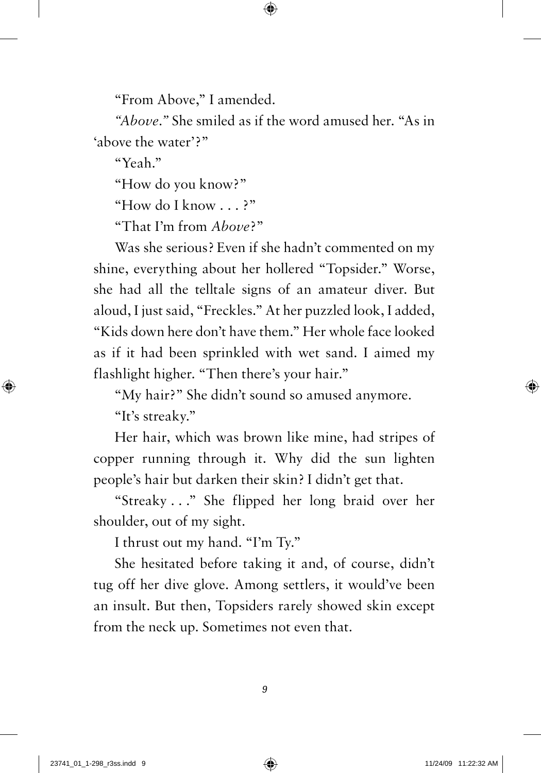"From Above," I amended.

*"Above."* She smiled as if the word amused her. "As in 'above the water'?"

"Yeah"

"How do you know?"

"How do I know . . . ?"

"That I'm from *Above*?"

Was she serious? Even if she hadn't commented on my shine, everything about her hollered "Topsider." Worse, she had all the telltale signs of an amateur diver. But aloud, I just said, "Freckles." At her puzzled look, I added, "Kids down here don't have them." Her whole face looked as if it had been sprinkled with wet sand. I aimed my flashlight higher. "Then there's your hair."

"My hair?" She didn't sound so amused anymore.

"It's streaky."

Her hair, which was brown like mine, had stripes of copper running through it. Why did the sun lighten people's hair but darken their skin? I didn't get that.

"Streaky . . . " She flipped her long braid over her shoulder, out of my sight.

I thrust out my hand. "I'm Ty."

She hesitated before taking it and, of course, didn't tug off her dive glove. Among settlers, it would've been an insult. But then, Topsiders rarely showed skin except from the neck up. Sometimes not even that.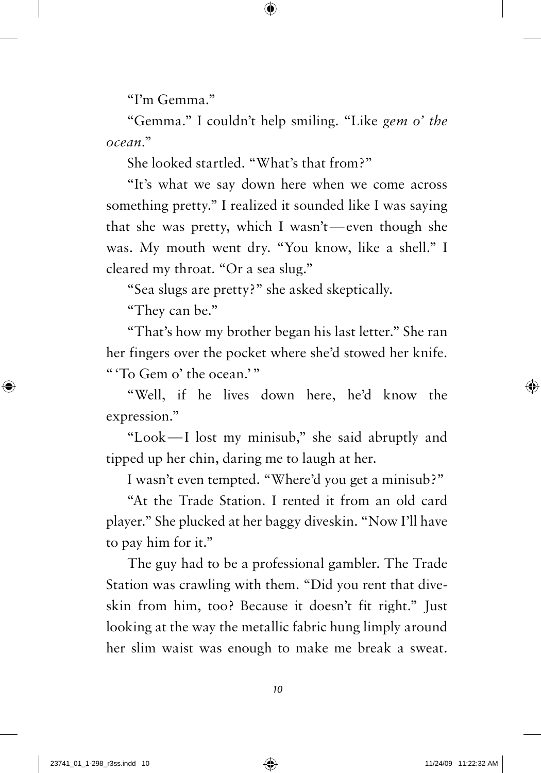"I'm Gemma."

"Gemma." I couldn't help smiling. "Like *gem o' the ocean*."

She looked startled. "What's that from?"

"It's what we say down here when we come across something pretty." I realized it sounded like I was saying that she was pretty, which I wasn't — even though she was. My mouth went dry. "You know, like a shell." I cleared my throat. "Or a sea slug."

"Sea slugs are pretty?" she asked skeptically.

"They can be."

"That's how my brother began his last letter." She ran her fingers over the pocket where she'd stowed her knife. " 'To Gem o' the ocean.' "

"Well, if he lives down here, he'd know the expression."

"Look — I lost my minisub," she said abruptly and tipped up her chin, daring me to laugh at her.

I wasn't even tempted. "Where'd you get a minisub?"

"At the Trade Station. I rented it from an old card player." She plucked at her baggy diveskin. "Now I'll have to pay him for it."

The guy had to be a professional gambler. The Trade Station was crawling with them. "Did you rent that diveskin from him, too? Because it doesn't fit right." Just looking at the way the metallic fabric hung limply around her slim waist was enough to make me break a sweat.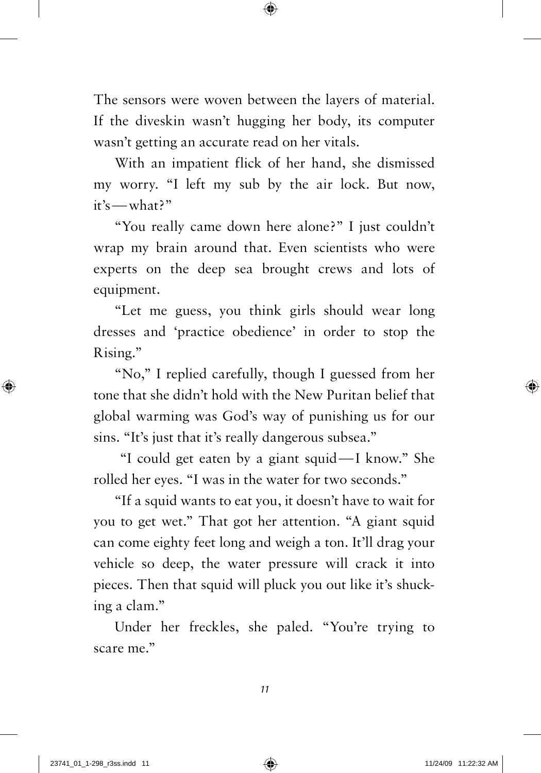The sensors were woven between the layers of material. If the diveskin wasn't hugging her body, its computer wasn't getting an accurate read on her vitals.

With an impatient flick of her hand, she dismissed my worry. "I left my sub by the air lock. But now, it's — what?"

"You really came down here alone?" I just couldn't wrap my brain around that. Even scientists who were experts on the deep sea brought crews and lots of equipment.

"Let me guess, you think girls should wear long dresses and 'practice obedience' in order to stop the Rising."

"No," I replied carefully, though I guessed from her tone that she didn't hold with the New Puritan belief that global warming was God's way of punishing us for our sins. "It's just that it's really dangerous subsea."

 "I could get eaten by a giant squid — I know." She rolled her eyes. "I was in the water for two seconds."

"If a squid wants to eat you, it doesn't have to wait for you to get wet." That got her attention. "A giant squid can come eighty feet long and weigh a ton. It'll drag your vehicle so deep, the water pressure will crack it into pieces. Then that squid will pluck you out like it's shucking a clam."

Under her freckles, she paled. "You're trying to scare me."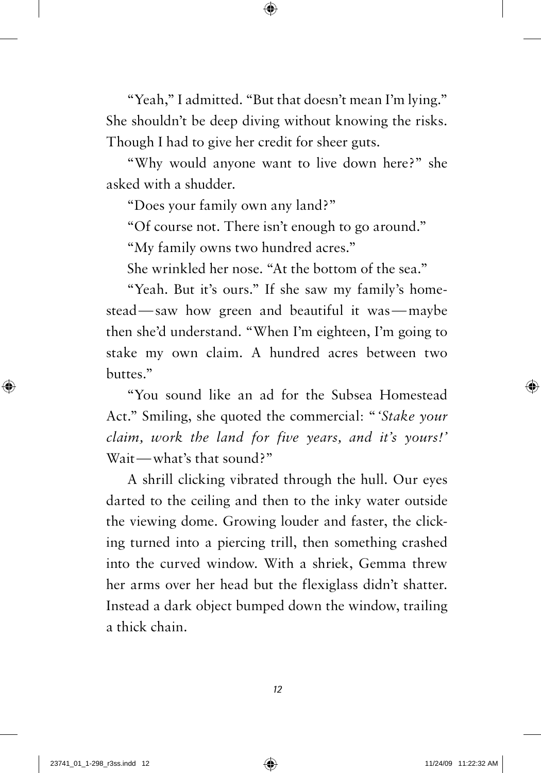"Yeah," I admitted. "But that doesn't mean I'm lying." She shouldn't be deep diving without knowing the risks. Though I had to give her credit for sheer guts.

"Why would anyone want to live down here?" she asked with a shudder.

"Does your family own any land?"

"Of course not. There isn't enough to go around."

"My family owns two hundred acres."

She wrinkled her nose. "At the bottom of the sea."

"Yeah. But it's ours." If she saw my family's homestead — saw how green and beautiful it was — maybe then she'd understand. "When I'm eighteen, I'm going to stake my own claim. A hundred acres between two buttes."

"You sound like an ad for the Subsea Homestead Act." Smiling, she quoted the commercial: " *'Stake your claim, work the land for five years, and it's yours!'* Wait — what's that sound?"

A shrill clicking vibrated through the hull. Our eyes darted to the ceiling and then to the inky water outside the viewing dome. Growing louder and faster, the clicking turned into a piercing trill, then something crashed into the curved window. With a shriek, Gemma threw her arms over her head but the flexiglass didn't shatter. Instead a dark object bumped down the window, trailing a thick chain.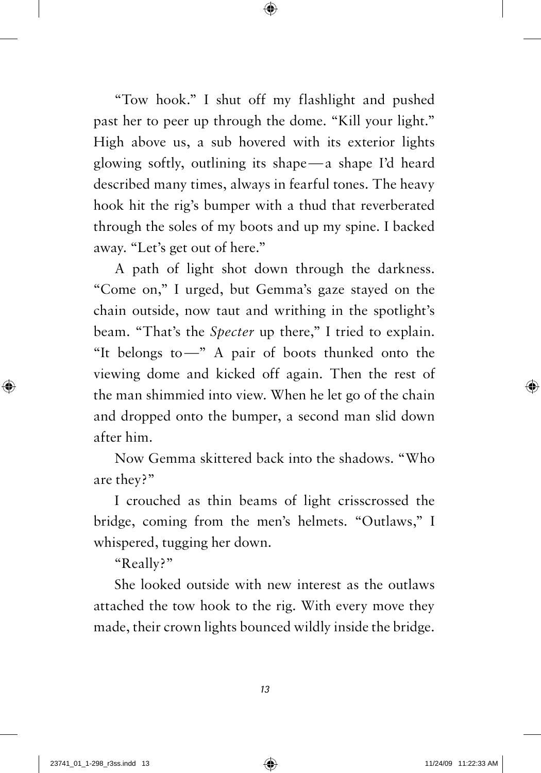"Tow hook." I shut off my flashlight and pushed past her to peer up through the dome. "Kill your light." High above us, a sub hovered with its exterior lights glowing softly, outlining its shape — a shape I'd heard described many times, always in fearful tones. The heavy hook hit the rig's bumper with a thud that reverberated through the soles of my boots and up my spine. I backed away. "Let's get out of here."

A path of light shot down through the darkness. "Come on," I urged, but Gemma's gaze stayed on the chain outside, now taut and writhing in the spotlight's beam. "That's the *Specter* up there," I tried to explain. "It belongs to —" A pair of boots thunked onto the viewing dome and kicked off again. Then the rest of the man shimmied into view. When he let go of the chain and dropped onto the bumper, a second man slid down after him.

Now Gemma skittered back into the shadows. "Who are they?"

I crouched as thin beams of light crisscrossed the bridge, coming from the men's helmets. "Outlaws," I whispered, tugging her down.

"Really?"

She looked outside with new interest as the outlaws attached the tow hook to the rig. With every move they made, their crown lights bounced wildly inside the bridge.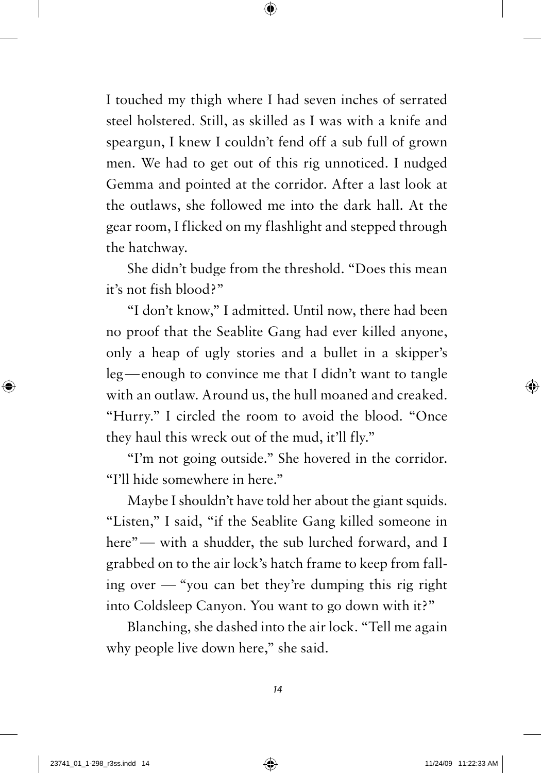I touched my thigh where I had seven inches of serrated steel holstered. Still, as skilled as I was with a knife and speargun, I knew I couldn't fend off a sub full of grown men. We had to get out of this rig unnoticed. I nudged Gemma and pointed at the corridor. After a last look at the outlaws, she followed me into the dark hall. At the gear room, I flicked on my flashlight and stepped through the hatchway.

She didn't budge from the threshold. "Does this mean it's not fish blood?"

"I don't know," I admitted. Until now, there had been no proof that the Seablite Gang had ever killed anyone, only a heap of ugly stories and a bullet in a skipper's leg—enough to convince me that I didn't want to tangle with an outlaw. Around us, the hull moaned and creaked. "Hurry." I circled the room to avoid the blood. "Once they haul this wreck out of the mud, it'll fly."

"I'm not going outside." She hovered in the corridor. "I'll hide somewhere in here."

Maybe I shouldn't have told her about the giant squids. "Listen," I said, "if the Seablite Gang killed someone in here" — with a shudder, the sub lurched forward, and I grabbed on to the air lock's hatch frame to keep from falling over — "you can bet they're dumping this rig right into Coldsleep Canyon. You want to go down with it?"

Blanching, she dashed into the air lock. "Tell me again why people live down here," she said.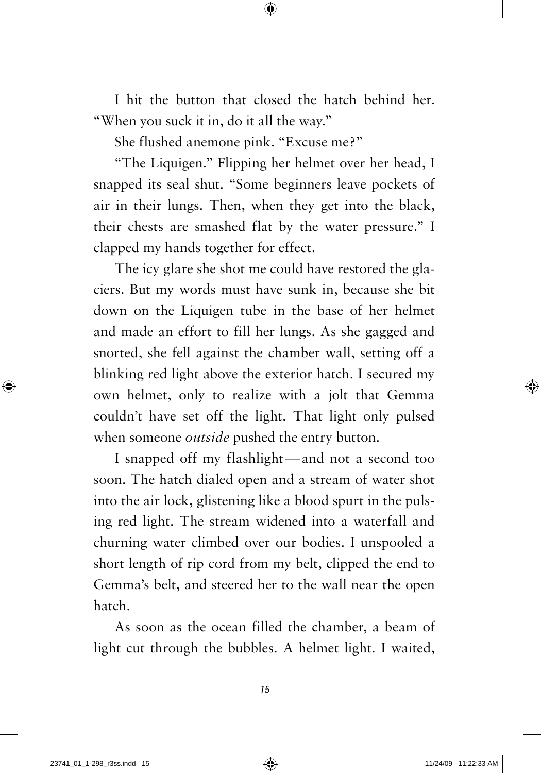I hit the button that closed the hatch behind her. "When you suck it in, do it all the way."

She flushed anemone pink. "Excuse me?"

"The Liquigen." Flipping her helmet over her head, I snapped its seal shut. "Some beginners leave pockets of air in their lungs. Then, when they get into the black, their chests are smashed flat by the water pressure." I clapped my hands together for effect.

The icy glare she shot me could have restored the glaciers. But my words must have sunk in, because she bit down on the Liquigen tube in the base of her helmet and made an effort to fill her lungs. As she gagged and snorted, she fell against the chamber wall, setting off a blinking red light above the exterior hatch. I secured my own helmet, only to realize with a jolt that Gemma couldn't have set off the light. That light only pulsed when someone *outside* pushed the entry button.

I snapped off my flashlight—and not a second too soon. The hatch dialed open and a stream of water shot into the air lock, glistening like a blood spurt in the pulsing red light. The stream widened into a waterfall and churning water climbed over our bodies. I unspooled a short length of rip cord from my belt, clipped the end to Gemma's belt, and steered her to the wall near the open hatch.

As soon as the ocean filled the chamber, a beam of light cut through the bubbles. A helmet light. I waited,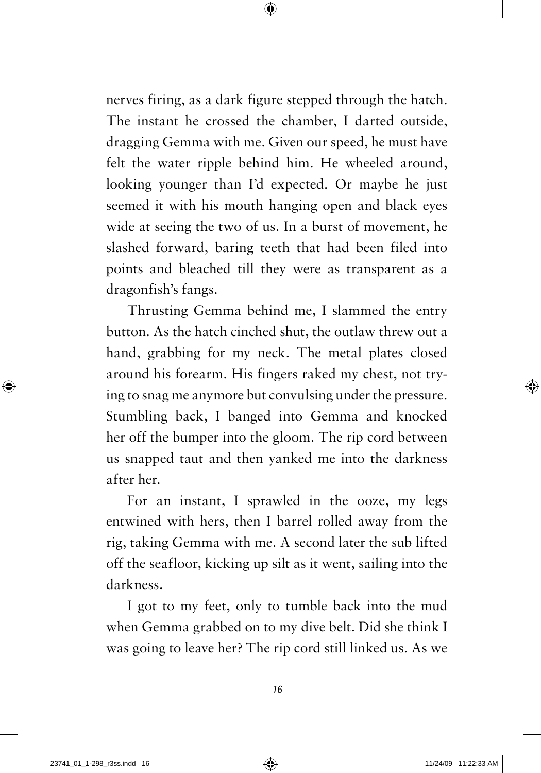nerves firing, as a dark figure stepped through the hatch. The instant he crossed the chamber, I darted outside, dragging Gemma with me. Given our speed, he must have felt the water ripple behind him. He wheeled around, looking younger than I'd expected. Or maybe he just seemed it with his mouth hanging open and black eyes wide at seeing the two of us. In a burst of movement, he slashed forward, baring teeth that had been filed into points and bleached till they were as transparent as a dragonfish's fangs.

Thrusting Gemma behind me, I slammed the entry button. As the hatch cinched shut, the outlaw threw out a hand, grabbing for my neck. The metal plates closed around his forearm. His fingers raked my chest, not trying to snag me anymore but convulsing under the pressure. Stumbling back, I banged into Gemma and knocked her off the bumper into the gloom. The rip cord between us snapped taut and then yanked me into the darkness after her.

For an instant, I sprawled in the ooze, my legs entwined with hers, then I barrel rolled away from the rig, taking Gemma with me. A second later the sub lifted off the seafloor, kicking up silt as it went, sailing into the darkness.

I got to my feet, only to tumble back into the mud when Gemma grabbed on to my dive belt. Did she think I was going to leave her? The rip cord still linked us. As we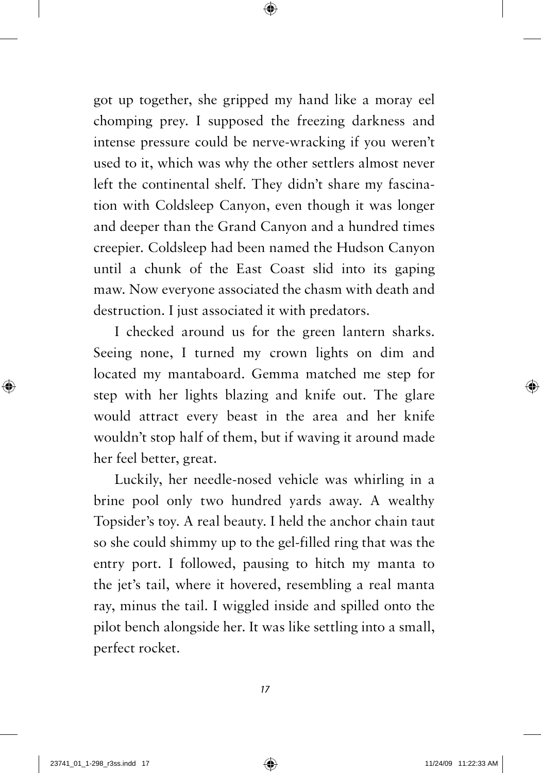got up together, she gripped my hand like a moray eel chomping prey. I supposed the freezing darkness and intense pressure could be nerve-wracking if you weren't used to it, which was why the other settlers almost never left the continental shelf. They didn't share my fascination with Coldsleep Canyon, even though it was longer and deeper than the Grand Canyon and a hundred times creepier. Coldsleep had been named the Hudson Canyon until a chunk of the East Coast slid into its gaping maw. Now everyone associated the chasm with death and destruction. I just associated it with predators.

I checked around us for the green lantern sharks. Seeing none, I turned my crown lights on dim and located my mantaboard. Gemma matched me step for step with her lights blazing and knife out. The glare would attract every beast in the area and her knife wouldn't stop half of them, but if waving it around made her feel better, great.

Luckily, her needle-nosed vehicle was whirling in a brine pool only two hundred yards away. A wealthy Topsider's toy. A real beauty. I held the anchor chain taut so she could shimmy up to the gel-filled ring that was the entry port. I followed, pausing to hitch my manta to the jet's tail, where it hovered, resembling a real manta ray, minus the tail. I wiggled inside and spilled onto the pilot bench alongside her. It was like settling into a small, perfect rocket.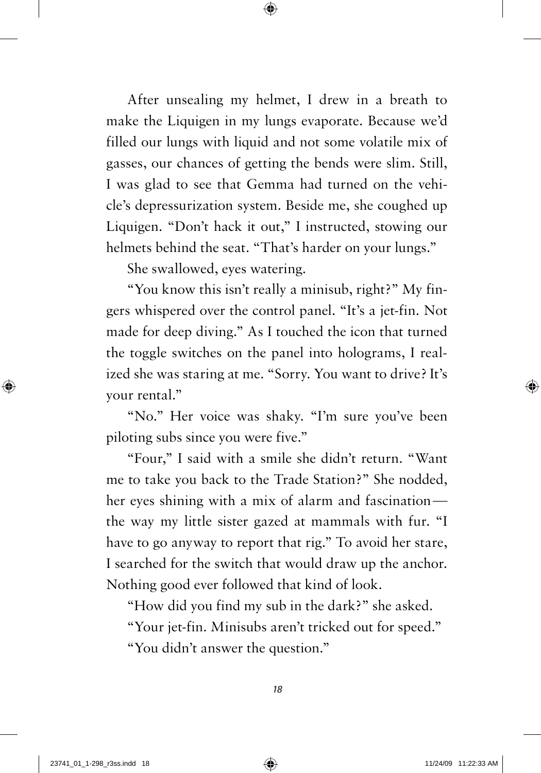After unsealing my helmet, I drew in a breath to make the Liquigen in my lungs evaporate. Because we'd filled our lungs with liquid and not some volatile mix of gasses, our chances of getting the bends were slim. Still, I was glad to see that Gemma had turned on the vehi cle's depressurization system. Beside me, she coughed up Liquigen. "Don't hack it out," I instructed, stowing our helmets behind the seat. "That's harder on your lungs."

She swallowed, eyes watering.

"You know this isn't really a minisub, right?" My fingers whispered over the control panel. "It's a jet-fin. Not made for deep diving." As I touched the icon that turned the toggle switches on the panel into holograms, I realized she was staring at me. "Sorry. You want to drive? It's your rental."

"No." Her voice was shaky. "I'm sure you've been piloting subs since you were five."

"Four," I said with a smile she didn't return. "Want me to take you back to the Trade Station?" She nodded, her eyes shining with a mix of alarm and fascination the way my little sister gazed at mammals with fur. "I have to go anyway to report that rig." To avoid her stare, I searched for the switch that would draw up the anchor. Nothing good ever followed that kind of look.

"How did you find my sub in the dark?" she asked.

"Your jet-fin. Minisubs aren't tricked out for speed."

"You didn't answer the question."